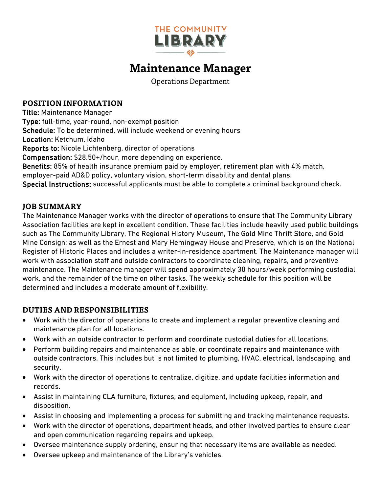

# **Maintenance Manager**

Operations Department

#### **POSITION INFORMATION**

Title: Maintenance Manager Type: full-time, year-round, non-exempt position Schedule: To be determined, will include weekend or evening hours Location: Ketchum, Idaho Reports to: Nicole Lichtenberg, director of operations Compensation: \$28.50+/hour, more depending on experience. Benefits: 85% of health insurance premium paid by employer, retirement plan with 4% match, employer-paid AD&D policy, voluntary vision, short-term disability and dental plans. Special Instructions: successful applicants must be able to complete a criminal background check.

### **JOB SUMMARY**

The Maintenance Manager works with the director of operations to ensure that The Community Library Association facilities are kept in excellent condition. These facilities include heavily used public buildings such as The Community Library, The Regional History Museum, The Gold Mine Thrift Store, and Gold Mine Consign; as well as the Ernest and Mary Hemingway House and Preserve, which is on the National Register of Historic Places and includes a writer-in-residence apartment. The Maintenance manager will work with association staff and outside contractors to coordinate cleaning, repairs, and preventive maintenance. The Maintenance manager will spend approximately 30 hours/week performing custodial work, and the remainder of the time on other tasks. The weekly schedule for this position will be determined and includes a moderate amount of flexibility.

#### **DUTIES AND RESPONSIBILITIES**

- Work with the director of operations to create and implement a regular preventive cleaning and maintenance plan for all locations.
- Work with an outside contractor to perform and coordinate custodial duties for all locations.
- Perform building repairs and maintenance as able, or coordinate repairs and maintenance with outside contractors. This includes but is not limited to plumbing, HVAC, electrical, landscaping, and security.
- Work with the director of operations to centralize, digitize, and update facilities information and records.
- Assist in maintaining CLA furniture, fixtures, and equipment, including upkeep, repair, and disposition.
- Assist in choosing and implementing a process for submitting and tracking maintenance requests.
- Work with the director of operations, department heads, and other involved parties to ensure clear and open communication regarding repairs and upkeep.
- Oversee maintenance supply ordering, ensuring that necessary items are available as needed.
- Oversee upkeep and maintenance of the Library's vehicles.